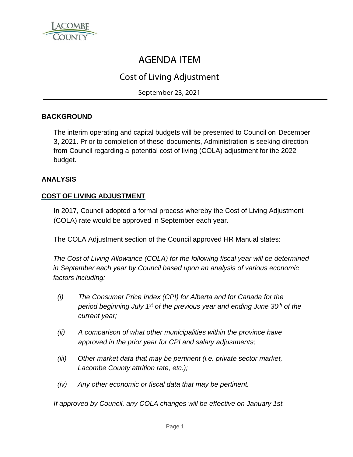

# AGENDA ITEM

# Cost of Living Adjustment

September 23, 2021

# **BACKGROUND**

The interim operating and capital budgets will be presented to Council on December 3, 2021. Prior to completion of these documents, Administration is seeking direction from Council regarding a potential cost of living (COLA) adjustment for the 2022 budget.

# **ANALYSIS**

# **COST OF LIVING ADJUSTMENT**

In 2017, Council adopted a formal process whereby the Cost of Living Adjustment (COLA) rate would be approved in September each year.

The COLA Adjustment section of the Council approved HR Manual states:

*The Cost of Living Allowance (COLA) for the following fiscal year will be determined in September each year by Council based upon an analysis of various economic factors including:*

- *(i) The Consumer Price Index (CPI) for Alberta and for Canada for the period beginning July 1st of the previous year and ending June 30th of the current year;*
- *(ii) A comparison of what other municipalities within the province have approved in the prior year for CPI and salary adjustments;*
- *(iii) Other market data that may be pertinent (i.e. private sector market, Lacombe County attrition rate, etc.);*
- *(iv) Any other economic or fiscal data that may be pertinent.*

*If approved by Council, any COLA changes will be effective on January 1st.*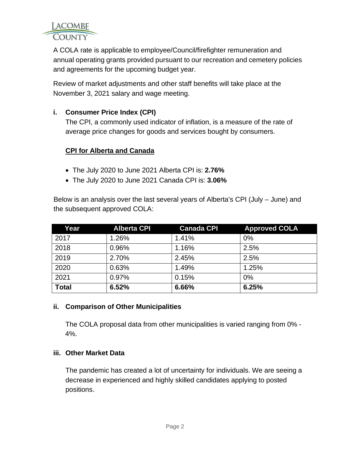

A COLA rate is applicable to employee/Council/firefighter remuneration and annual operating grants provided pursuant to our recreation and cemetery policies and agreements for the upcoming budget year.

Review of market adjustments and other staff benefits will take place at the November 3, 2021 salary and wage meeting.

# **i. Consumer Price Index (CPI)**

The CPI, a commonly used indicator of inflation, is a measure of the rate of average price changes for goods and services bought by consumers.

# **CPI for Alberta and Canada**

- The July 2020 to June 2021 Alberta CPI is: **2.76%**
- The July 2020 to June 2021 Canada CPI is: **3.06%**

Below is an analysis over the last several years of Alberta's CPI (July – June) and the subsequent approved COLA:

| Year         | <b>Alberta CPI</b> | <b>Canada CPI</b> | <b>Approved COLA</b> |
|--------------|--------------------|-------------------|----------------------|
| 2017         | 1.26%              | 1.41%             | 0%                   |
| 2018         | 0.96%              | 1.16%             | 2.5%                 |
| 2019         | 2.70%              | 2.45%             | 2.5%                 |
| 2020         | 0.63%              | 1.49%             | 1.25%                |
| 2021         | 0.97%              | 0.15%             | 0%                   |
| <b>Total</b> | 6.52%              | 6.66%             | 6.25%                |

#### **ii. Comparison of Other Municipalities**

The COLA proposal data from other municipalities is varied ranging from 0% - 4%.

#### **iii. Other Market Data**

The pandemic has created a lot of uncertainty for individuals. We are seeing a decrease in experienced and highly skilled candidates applying to posted positions.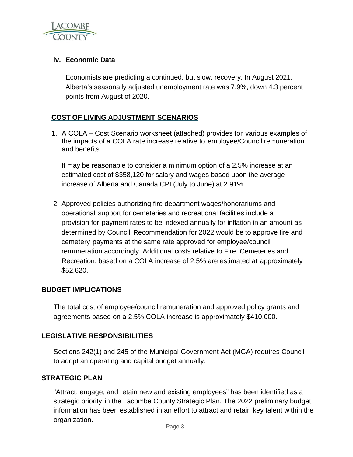

# **iv. Economic Data**

Economists are predicting a continued, but slow, recovery. In August 2021, Alberta's seasonally adjusted unemployment rate was 7.9%, down 4.3 percent points from August of 2020.

# **COST OF LIVING ADJUSTMENT SCENARIOS**

1. A COLA – Cost Scenario worksheet (attached) provides for various examples of the impacts of a COLA rate increase relative to employee/Council remuneration and benefits.

It may be reasonable to consider a minimum option of a 2.5% increase at an estimated cost of \$358,120 for salary and wages based upon the average increase of Alberta and Canada CPI (July to June) at 2.91%.

2. Approved policies authorizing fire department wages/honorariums and operational support for cemeteries and recreational facilities include a provision for payment rates to be indexed annually for inflation in an amount as determined by Council. Recommendation for 2022 would be to approve fire and cemetery payments at the same rate approved for employee/council remuneration accordingly. Additional costs relative to Fire, Cemeteries and Recreation, based on a COLA increase of 2.5% are estimated at approximately \$52,620.

#### **BUDGET IMPLICATIONS**

The total cost of employee/council remuneration and approved policy grants and agreements based on a 2.5% COLA increase is approximately \$410,000.

#### **LEGISLATIVE RESPONSIBILITIES**

Sections 242(1) and 245 of the Municipal Government Act (MGA) requires Council to adopt an operating and capital budget annually.

#### **STRATEGIC PLAN**

"Attract, engage, and retain new and existing employees" has been identified as a strategic priority in the Lacombe County Strategic Plan. The 2022 preliminary budget information has been established in an effort to attract and retain key talent within the organization.